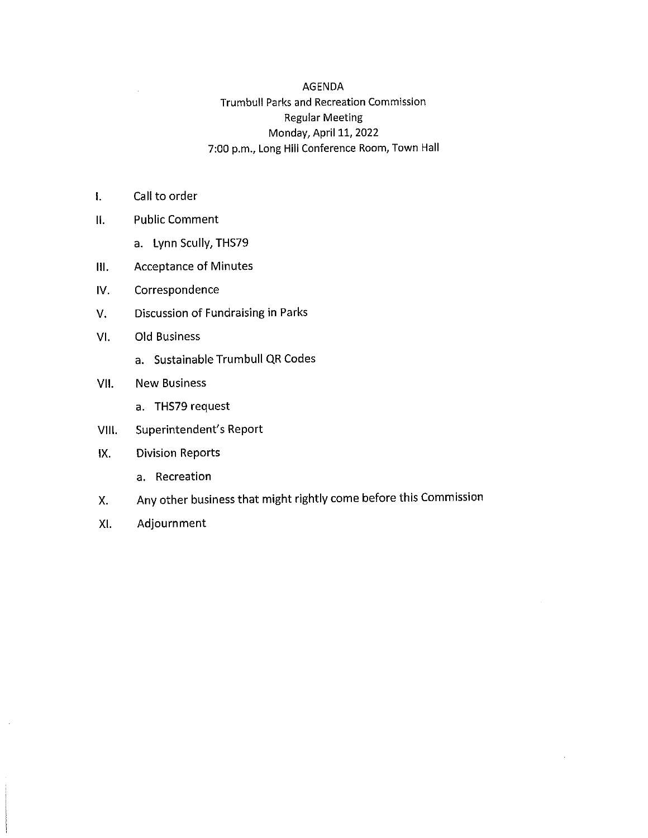#### AGENDA

#### Trumbull Parks and Recreation Commission Regular Meeting Monday, April 11, 2022 7:00 p.m., Long Hill Conference Room, Town Hall

- I. Call to order
- II. Public Comment
	- a. Lynn Scully, THS79
- Ill. Acceptance of Minutes
- IV. Correspondence
- V. Discussion of Fundraising in Parks
- VI. Old Business
	- a. Sustainable Trumbull QR Codes

#### VII. New Business

- a. THS79 request
- VIII. Superintendent's Report

#### IX. Division Reports

- a. Recreation
- X. Any other business that might rightly come before this Commission
- XI. Adjournment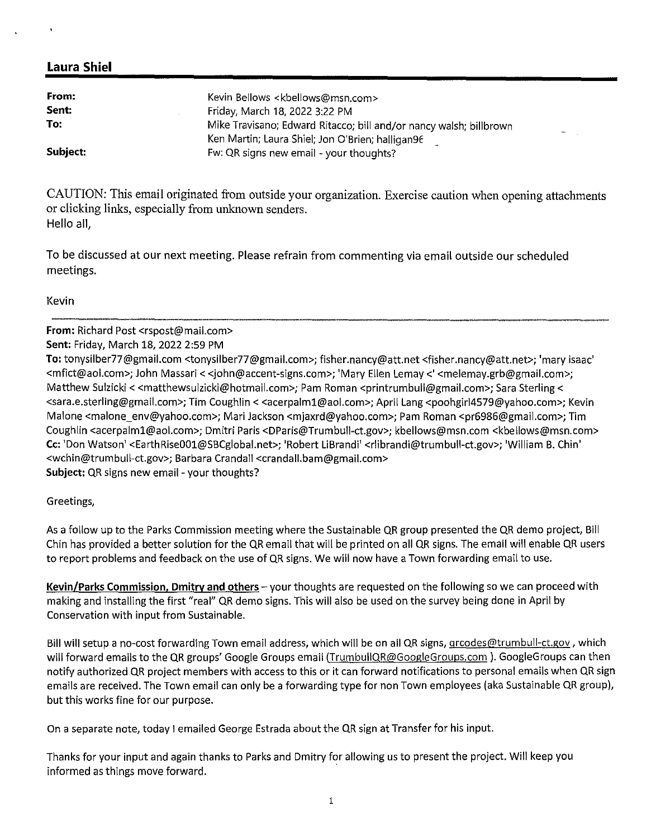| From:    | Kevin Bellows <kbellows@msn.com></kbellows@msn.com>                |
|----------|--------------------------------------------------------------------|
| Sent:    | Friday, March 18, 2022 3:22 PM                                     |
| To:      | Mike Travisano; Edward Ritacco; bill and/or nancy walsh; billbrown |
|          | Ken Martin; Laura Shiel; Jon O'Brien; halligan96                   |
| Subject: | Fw: QR signs new email - your thoughts?                            |

CAUTION: This email originated from outside your organization. Exercise caution when opening attachments or clicking links, especially from unknown senders. Hello all,

To be discussed at our next meeting. Please refrain from commenting via email outside our scheduled meetings.

Kevin

**From:** Richard Post <rspost@mail.com> **Sent:** Friday, March 18, 2022 2:59 PM **To:** tonysilber77@gmail.com <tonysilber77@gmail.com>; fisher.nancy@att.net <fisher.nancy@att.net>; 'mary isaac' <mfict@aol.com>; John Massari< <john@accent-signs.com>; 'Mary Ellen Lemay<' <melemay.grb@gmail.com>; Matthew Sulzicki < <matthewsulzicki@hotmail.com>; Pam Roman <printrumbull@gmail.com>; Sara Sterling < <sara.e.sterling@gmail.com>; Tim Coughlin< <acerpalm1@aol.com>; April Lang <poohgirl4579@yahoo.com>; Kevin Malone <malone\_env@yahoo.com>; Mari Jackson <mjaxrd@yahoo.com>; Pam Roman <pr6986@gmail.com>; Tim Coughlin <acerpalm1@aol.com>; Dmitri Paris <DParis@Trumbull-ct.gov>; kbellows@msn.com <kbellows@msn.com> **Cc:** 'Don Watson' <EarthRise001@SBCglobal.net>; 'Robert LiBrandi' <rlibrandi@trumbull-ct.gov>; 'William B. Chin' <wchin@trumbull-ct.gov>; Barbara Crandall <crandall.bam@gmail.com> **Subject:** QR signs new email - your thoughts?

Greetings,

As a follow up to the Parks Commission meeting where the Sustainable QR group presented the QR demo project, Bill Chin has provided a better solution for the QR email that will be printed on all QR signs. The email will enable QR users to report problems and feedback on the use of QR signs. We will now have a Town forwarding email to use.

**Kevin/Parks Commission, Dmitry and others** - your thoughts are requested on the following so we can proceed with making and installing the first "real" QR demo signs. This will also be used on the survey being done in April by Conservation with input from Sustainable.

Bill will setup a no-cost forwarding Town email address, which will be on all QR signs, grcodes@trumbull-ct.gov, which will forward emails to the QR groups' Google Groups email (TrumbullQR@GoogleGroups.com). GoogleGroups can then notify authorized QR project members with access to this or it can forward notifications to personal emails when QR sign emails are received. The Town email can only be a forwarding type for non Town employees (aka Sustainable QR group), but this works fine for our purpose.

On a separate note, today I emailed George Estrada about the QR sign at Transfer for his input.

Thanks for your input and again thanks to Parks and Dmitry for allowing us to present the project. Will keep you informed as things move forward.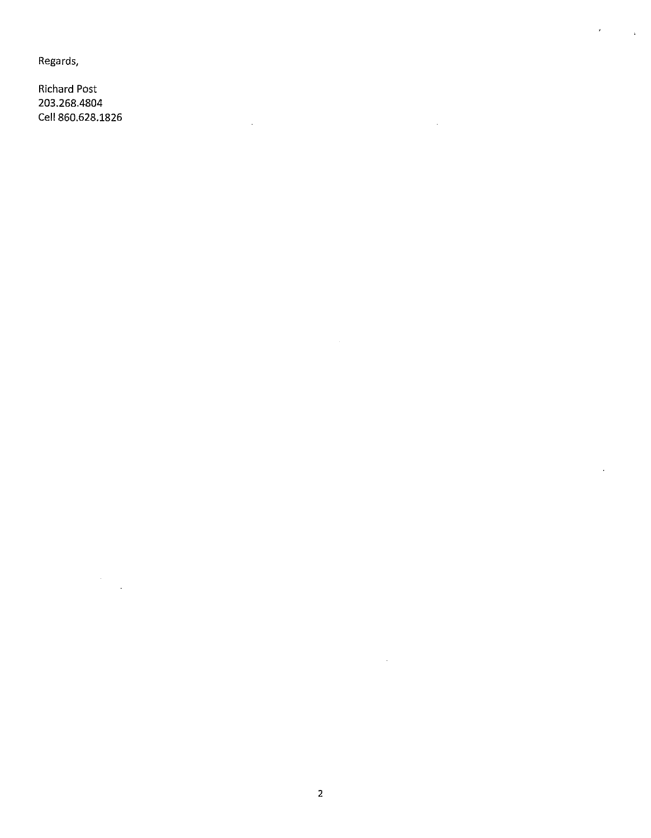Regards,

Richard Post 203.268.4804 Cell 860.628.1826

 $\bar{\mathcal{A}}$ 

 $\bar{r}$ 

 $\mathcal{L}$ 

 $\bar{\mathbf{r}}$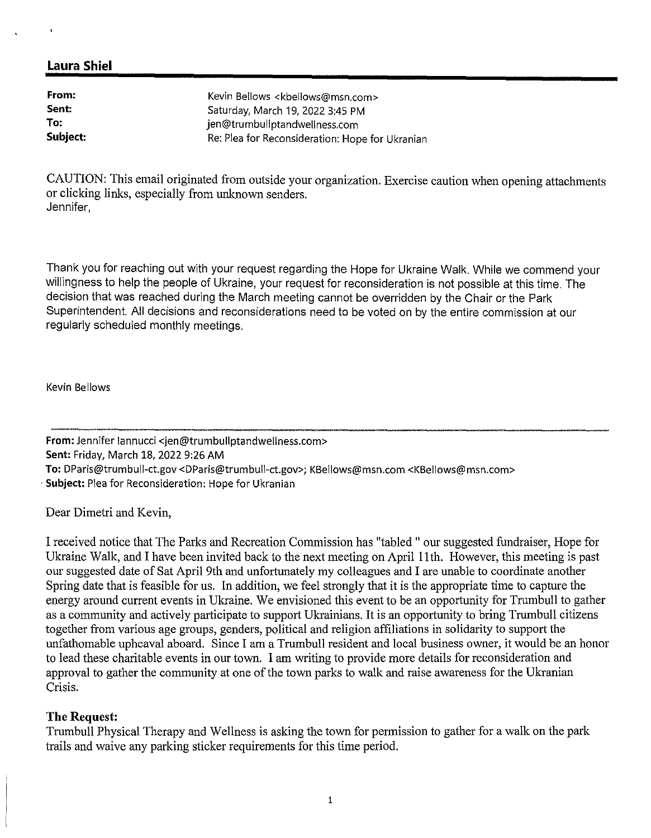| From:    | Kevin Bellows <kbellows@msn.com></kbellows@msn.com> |
|----------|-----------------------------------------------------|
| Sent:    | Saturday, March 19, 2022 3:45 PM                    |
| To:      | jen@trumbullptandwellness.com                       |
| Subject: | Re: Plea for Reconsideration: Hope for Ukranian     |

CAUTION: This email originated from outside your organization. Exercise caution when opening attachments or clicking links, especially from unknown senders. Jennifer,

Thank you for reaching out with your request regarding the Hope for Ukraine Walk. While we commend your willingness to help the people of Ukraine, your request for reconsideration is not possible at this time. The decision that was reached during the March meeting cannot be overridden by the Chair or the Park Superintendent. All decisions and reconsiderations need to be voted on by the entire commission at our regularly scheduled monthly meetings.

Kevin Bellows

**From:** Jennifer Iannucci <jen@trumbullptandwellness.com> **Sent:** Friday, March 18, 2022 9:26 AM **To:** DParis@trumbull-ct.gov <DParis@trumbull-ct.gov>; KBellows@msn.com <l<Bellows@msn.com> Subject: Plea for Reconsideration: Hope for Ukranian

Dear Dimetri and Kevin,

I received notice that The Parks and Recreation Commission has "tabled " our suggested fundraiser, Hope for Ukraine Walk, and I have been invited back to the next meeting on April 11th. However, this meeting is past our suggested date of Sat April 9th and unfortunately my colleagues and I are unable to coordinate another Spring date that is feasible for us. In addition, we feel strongly that it is the appropriate time to capture the energy around current events in Ukraine. We envisioned this event to be an opportunity for Trumbull to gather as a community and actively participate to support Ukrainians. It is an opportunity to bring Trumbull citizens together from various age groups, genders, political and religion affiliations in solidarity to support the unfathomable upheaval aboard. Since I am a Trumbull resident and local business owner, it would be an honor to lead these charitable events in our town. I am writing to provide more details for reconsideration and approval to gather the community at one of the town parks to walk and raise awareness for the Ukranian Crisis.

#### **The Request:**

Trumbull Physical Therapy and Wellness is asking the town for permission to gather for a walk on the park trails and waive any parking sticker requirements for this time period.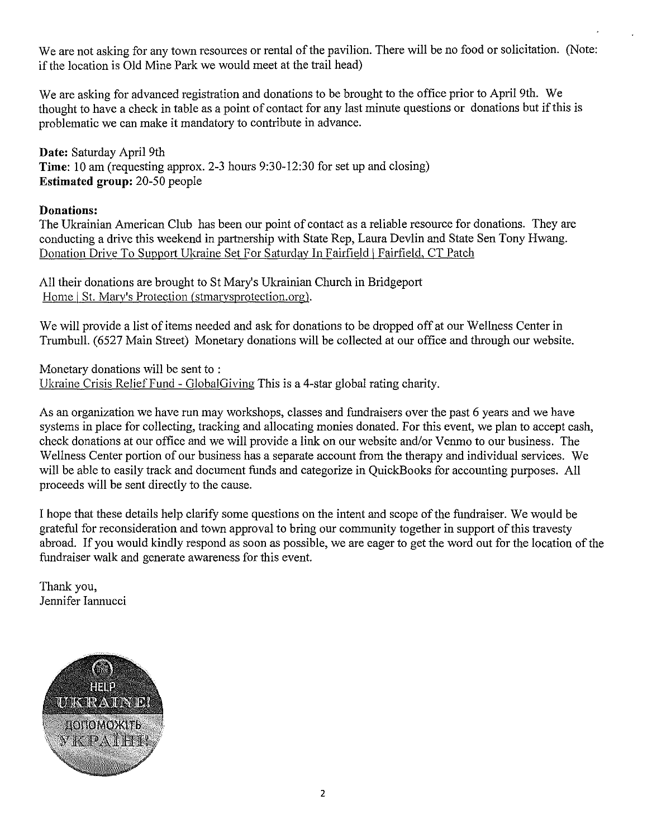We are not asking for any town resources or rental of the pavilion. There will be no food or solicitation. (Note: if the location is Old Mine Park we would meet at the trail head)

We are asking for advanced registration and donations to be brought to the office prior to April 9th. We thought to have a check in table as a point of contact for any last minute questions or donations but if this is problematic we can make it mandatory to contribute in advance.

**Date:** Saturday April 9th **Time:** 10 am (requesting approx. 2-3 hours 9:30-12:30 for set up and closing) **Estimated group:** 20-50 people

## **Donations:**

The Ukrainian American Club has been our point of contact as a reliable resource for donations. They are conducting a drive this weekend in partnership with State Rep, Laura Devlin and State Sen Tony Hwang. Donation Drive To Support Ukraine Set For Saturday In Fairfield | Fairfield, CT Patch

All their donations are brought to St Mary's Ukrainian Church in Bridgeport Home | St. Mary's Protection (stmarysprotection.org).

We will provide a list of items needed and ask for donations to be dropped off at our Wellness Center in Trumbull. (6527 Main Street) Monetary donations will be collected at our office and through our website.

Monetary donations will be sent to : Ukraine Crisis Relief Fund - GlobalGiving This is a 4-star global rating charity.

As an organization we have run may workshops, classes and fundraisers over the past 6 years and we have systems in place for collecting, tracking and allocating monies donated. For this event, we plan to accept cash, check donations at our office and we will provide a link on our website and/or Venmo to our business. The Wellness Center portion of our business has a separate account from the therapy and individual services. We will be able to easily track and document funds and categorize in QuickBooks for accounting purposes. All proceeds will be sent directly to the cause.

I hope that these details help clarify some questions on the intent and scope of the fundraiser. We would be grateful for reconsideration and town approval to bring our community together in support of this travesty abroad. If you would kindly respond as soon as possible, we are eager to get the word out for the location of the fundraiser walk and generate awareness for this event.

Thank you, Jennifer Iannucci

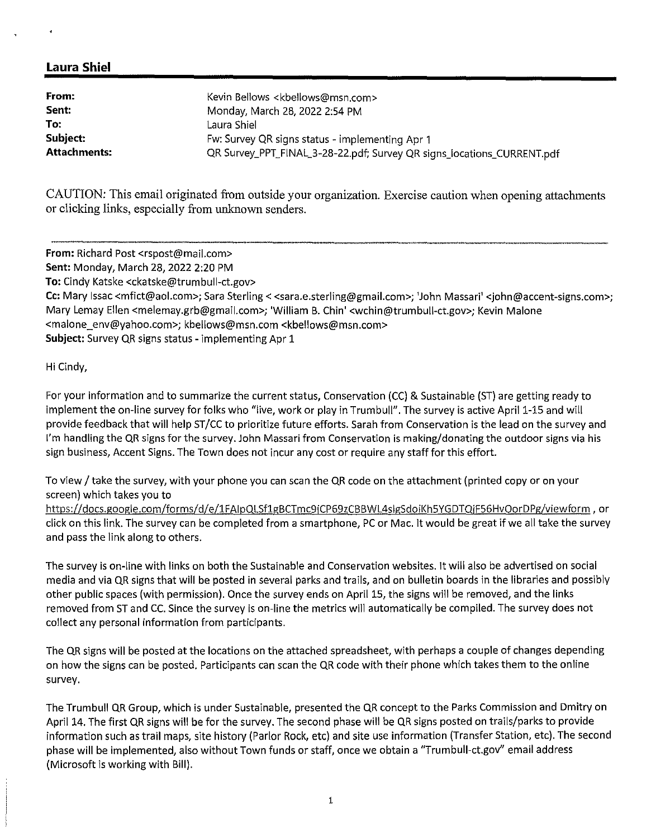| From:               | Kevin Bellows <kbellows@msn.com></kbellows@msn.com>                    |
|---------------------|------------------------------------------------------------------------|
| Sent:               | Monday, March 28, 2022 2:54 PM                                         |
| To:                 | Laura Shiel                                                            |
| Subject:            | Fw: Survey QR signs status - implementing Apr 1                        |
| <b>Attachments:</b> | QR Survey_PPT_FINAL_3-28-22.pdf; Survey QR signs_locations_CURRENT.pdf |

CAUTION: This email originated from outside your organization. Exercise caution when opening attachments or clicking links, especially from unknown senders.

**From:** Richard Post <rspost@mail.com> **Sent:** Monday, March 28, 2022 2:20 PM **To:** Cindy Katske <ckatske@trumbull-ct.gov> **Cc:** Mary Issac <mfict@aol.com>; Sara Sterling< <sara.e.sterling@gmail.com>; 'John Massari' <john@accent-signs.com>; Mary Lemay Ellen <melemay.grb@gmail.com>; 'William B. Chin' <wchin@trumbull-ct.gov>; Kevin Malone <malone\_env@yahoo.com>; kbellows@msn.com <kbellows@msn.com>

**Subject:** Survey QR signs status - implementing Apr 1

Hi Cindy,

For your information and to summarize the current status, Conservation (CC) & Sustainable (ST) are getting ready to implement the on-line survey for folks who "live, work or play in Trumbull". The survey is active April 1-15 and will provide feedback that will help ST/CC to prioritize future efforts. Sarah from Conservation is the lead on the survey and I'm handling the QR signs for the survey. John Massari from Conservation is making/donating the outdoor signs via his sign business, Accent Signs. The Town does not incur any cost or require any staff for this effort.

To view/ take the survey, with your phone you can scan the QR code on the attachment (printed copy or on your screen) which takes you to

https://docs.google.com/forms/d/e/1FAlpQLSf1gBCTmc9jCP69zCBBWL4slg5doil(h5YGDTQjF56HvOorDPg/viewform, or click on this link. The survey can be completed from a smartphone, PC or Mac. It would be great if we all take the survey and pass the link along to others.

The survey is on-line with links on both the Sustainable and Conservation websites. It will also be advertised on social media and via QR signs that will be posted in several parks and trails, and on bulletin boards in the libraries and possibly other public spaces (with permission). Once the survey ends on April 15, the signs will be removed, and the links removed from ST and CC. Since the survey is on-line the metrics will automatically be compiled. The survey does not collect any personal information from participants.

The QR signs will be posted at the locations on the attached spreadsheet, with perhaps a couple of changes depending on how the signs can be posted. Participants can scan the QR code with their phone which takes them to the on line survey.

The Trumbull QR Group, which is under Sustainable, presented the QR concept to the Parks Commission and Dmitry on April 14. The first QR signs will be for the survey. The second phase will be QR signs posted on trails/parks to provide information such as trail maps, site history (Parlor Rock, etc) and site use information (Transfer Station, etc). The second phase will be implemented, also without Town funds or staff, once we obtain a "Trumbull-ct.gov" email address (Microsoft is working with Bill).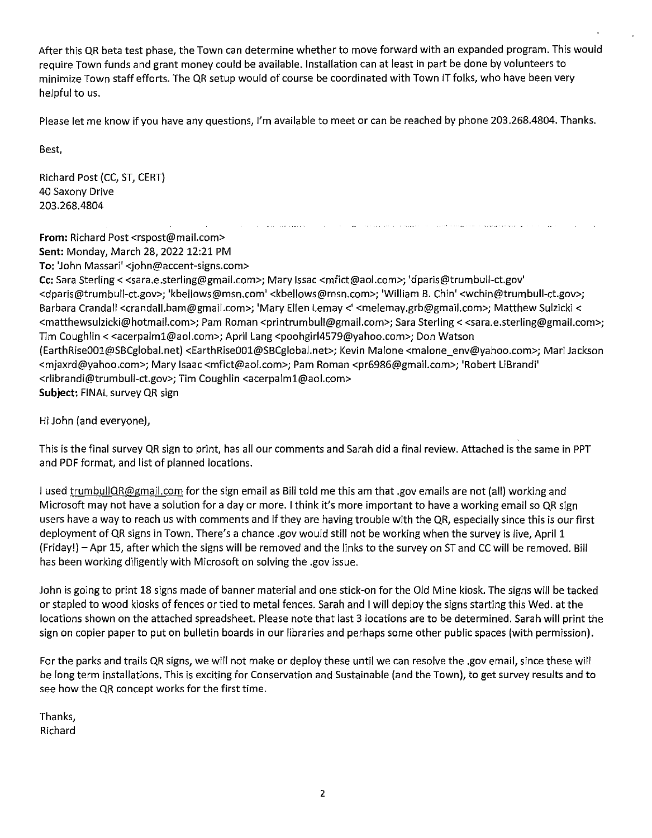After this QR beta test phase, the Town can determine whether to move forward with an expanded program. This would require Town funds and grant money could be available. Installation can at least in part be done by volunteers to minimize Town staff efforts. The QR setup would of course be coordinated with Town IT folks, who have been very helpful to us.

Please let me know if you have any questions, I'm available to meet or can be reached by phone 203.268.4804. Thanks.

Best,

Richard Post (CC, ST, CERT) 40 Saxony Drive 203.268.4804

**From:** Richard Post <rspost@mail.com> **Sent:** Monday, March 28, 2022 12:21 PM **To:** 'John Massari' <john@accent-signs.com>

**Cc:** Sara Sterling< <sara.e.sterling@gmail.com>; Mary Issac <mfict@aol.com>; 'dparis@trumbull-ct.gov' <dparis@trumbull-ct.gov>; 'kbellows@msn.com' <kbellows@msn.com>; 'William B. Chin' <wchin@trumbull-ct.gov>; Barbara Crandall <crandall.bam@gmail.com>; 'Mary Ellen Lemay <' <melemay.grb@gmail.com>; Matthew Sulzicki < <matthewsulzicki@hotmail.com>; Pam Roman <printrumbull@gmail.com>; Sara Sterling< <sara.e.sterling@gmail.com>; Tim Coughlin < <acerpalm1@aol.com>; April Lang <poohgirl4579@yahoo.com>; Don Watson (EarthRiseOOl@SBCglobal.net) <EarthRiseOOl@SBCglobal.net>; Kevin Malone <malone\_env@yahoo.com>; Mari Jackson <mjaxrd@yahoo.com>; Mary Isaac <mfict@aol.com>; Pam Roman <pr6986@gmail.com>; 'Robert LiBrandi' <rlibrandi@trumbull-ct.gov>; Tim Coughlin <acerpalm1@aol.com> **Subject:** FINAL survey QR sign

Hi John (and everyone),

This is the final survey QR sign to print, has all our comments and Sarah did a final review. Attached is the same in PPT and PDF format, and list of planned locations.

I used trumbullQR@gmail.com for the sign email as Bill told me this am that .gov emails are not (all) working and Microsoft may not have a solution for a day or more. I think it's more important to have a working email so QR sign users have a way to reach us with comments and if they are having trouble with the QR, especially since this is our first deployment of QR signs in Town. There's a chance .gov would still not be working when the survey is live, April 1 (Friday!) -Apr 15, after which the signs will be removed and the links to the survey on ST and CC will be removed. Bill has been working diligently with Microsoft on solving the .gov issue.

John is going to print 18 signs made of banner material and one stick-on for the Old Mine kiosk. The signs will be tacked or stapled to wood kiosks of fences or tied to metal fences. Sarah and I will deploy the signs starting this Wed. at the locations shown on the attached spreadsheet. Please note that last 3 locations are to be determined. Sarah will print the sign on copier paper to put on bulletin boards in our libraries and perhaps some other public spaces (with permission).

For the parks and trails QR signs, we will not make or deploy these until we can resolve the .gov email, since these will be long term installations. This is exciting for Conservation and Sustainable (and the Town), to get survey results and to see how the QR concept works for the first time.

Thanks, Richard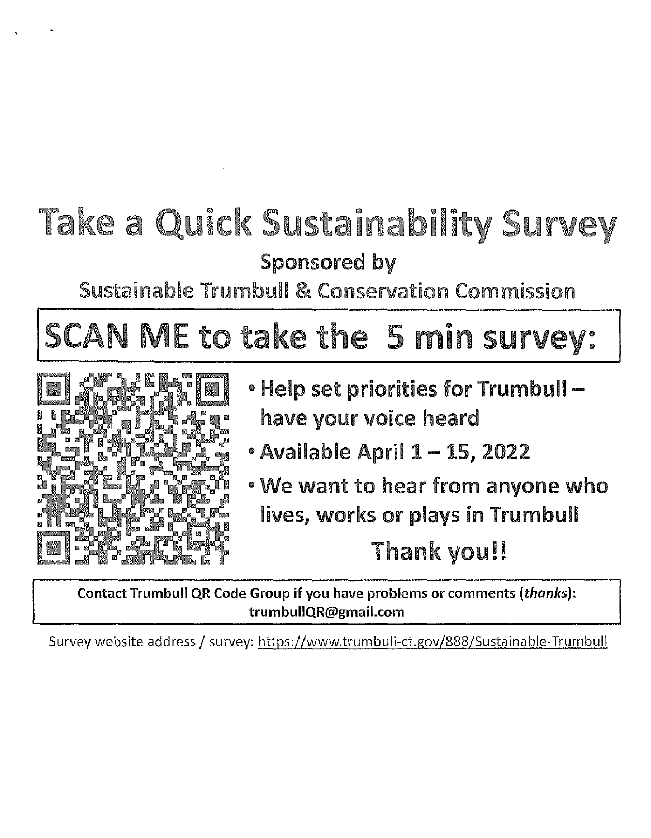# Take a Quick Sustainability Survey Sponsored by

Sustainable Trumbull & Conservation Commission

# SCAN ME to take the 5 min survey:



- Help set priorities for Trumbull have your voice heard
- Available April 1 15, 2022
- We want to hear from anyone who lives, works or plays in Trumbull

# Thank you!!

**Contact Trumbull QR Code Group if you have problems or comments** *(thanks):*  **trumbullQR@gmail.com** 

Survey website address/ survey: https://www.trumbull-ct.gov/888/Sustainable-Trumbull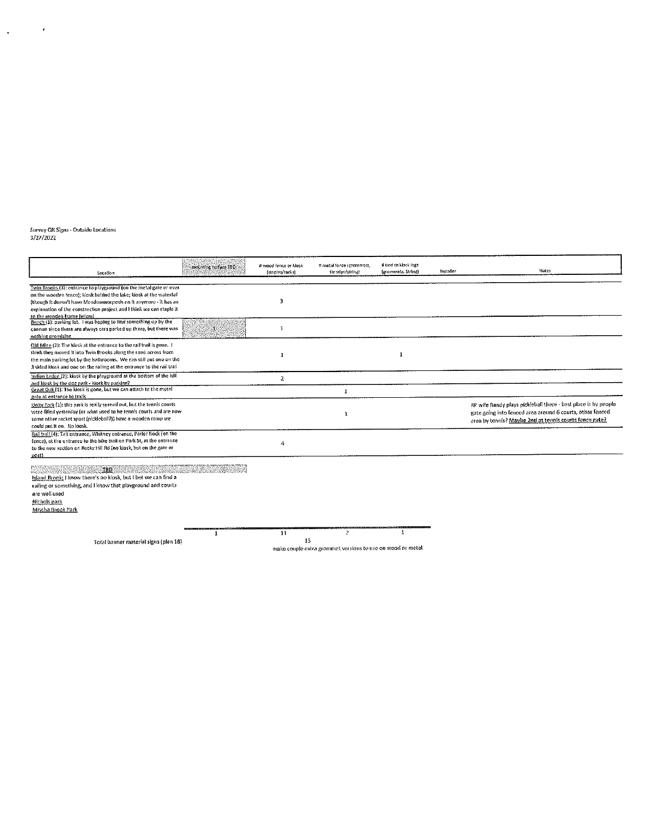# Survey QR Sīgns - Outside Locations<br>3/27/2022

 $\sqrt{1-\beta}$  ,  $\beta$ 

| Location                                                                                       | mounting corrace TBD: | # wood fence or klosk<br>[staples/facks] | # metal fence (grommets,<br>tic stips/string)              | # tied to klosk legs<br>(grommers, String) | Installer | Notes                                                          |
|------------------------------------------------------------------------------------------------|-----------------------|------------------------------------------|------------------------------------------------------------|--------------------------------------------|-----------|----------------------------------------------------------------|
|                                                                                                |                       |                                          |                                                            |                                            |           |                                                                |
| Twin Brooks (3): entrance to playground (on the metal gate or over                             |                       |                                          |                                                            |                                            |           |                                                                |
| on the wooden fence); kiosk behind the lake; kiosk at the waterfall                            |                       |                                          |                                                            |                                            |           |                                                                |
| (though it doesn't have Meadowmorposis on it anymore - it has an                               |                       | 3                                        |                                                            |                                            |           |                                                                |
| explanation of the construction project and I think we can staple it                           |                       |                                          |                                                            |                                            |           |                                                                |
| to the wooden frame below!<br>Beach (1): parking lot. I was hoping to find something up by the |                       |                                          |                                                            |                                            |           |                                                                |
| cannon since there are always cars parked up there, but there was                              | -13                   | $\mathbf{1}$                             |                                                            |                                            |           |                                                                |
| nothing promising                                                                              |                       |                                          |                                                            |                                            |           |                                                                |
| Old Mine (2): The klosk at the entrance to the rail trail is gone. 1                           |                       |                                          |                                                            |                                            |           |                                                                |
| think they moved it into Twin Brooks along the road across from                                |                       |                                          |                                                            |                                            |           |                                                                |
| the main parking lot by the bathrooms. We can still put one on the                             |                       | -1                                       |                                                            | 1                                          |           |                                                                |
| 3 sided klosk and one on the ralling at the entrance to the rail trail                         |                       |                                          |                                                            |                                            |           |                                                                |
| Indian Ledge (2): klosk by the playground at the bottom of the hill                            |                       |                                          |                                                            |                                            |           |                                                                |
| and klosk by the dog park - klosk by parking?                                                  |                       | $\mathbf{z}$                             |                                                            |                                            |           |                                                                |
| Great Oak (1): The klosk is gone, but we can attach to the metal                               |                       |                                          |                                                            |                                            |           |                                                                |
| gate at entrance to trails.                                                                    |                       |                                          |                                                            |                                            |           |                                                                |
| Unity Park (1): this park is really spread out, but the tennis courts                          |                       |                                          |                                                            |                                            |           | RP wife Randy plays pickleball there - best place is by people |
| were filled vesterday for what used to be tennis courts and are now                            |                       |                                          | 1                                                          |                                            |           | gate going into fenced area around 6 courts, other fenced      |
| some other racket sport (pickleboll?)) have a wooden ramp we                                   |                       |                                          |                                                            |                                            |           | area by tennis? Maybe 2nd at tennis courts fence gate?         |
| could nut it on. No klosk.                                                                     |                       |                                          |                                                            |                                            |           |                                                                |
| Rail trail (4): Tait entrance, Whitney entrance, Parlor Rock (on the                           |                       |                                          |                                                            |                                            |           |                                                                |
| fence), at the entrance to the bike trail on Park St, at the entrance                          |                       | 4                                        |                                                            |                                            |           |                                                                |
| to the new section on Rocky Hill Rd (no kiosk, but on the gate or                              |                       |                                          |                                                            |                                            |           |                                                                |
| post)                                                                                          |                       |                                          |                                                            |                                            |           |                                                                |
|                                                                                                |                       |                                          |                                                            |                                            |           |                                                                |
| <u>the two the</u>                                                                             |                       |                                          |                                                            |                                            |           |                                                                |
| Island Brook: I know there's no klosk, but I bet we can find a                                 |                       |                                          |                                                            |                                            |           |                                                                |
| railing or something, and I know that playground and courts                                    |                       |                                          |                                                            |                                            |           |                                                                |
| are well used                                                                                  |                       |                                          |                                                            |                                            |           |                                                                |
| Nichols park                                                                                   |                       |                                          |                                                            |                                            |           |                                                                |
| Mischa Brook Park                                                                              |                       |                                          |                                                            |                                            |           |                                                                |
|                                                                                                |                       |                                          |                                                            |                                            |           |                                                                |
|                                                                                                |                       |                                          |                                                            |                                            |           |                                                                |
|                                                                                                | 1                     | 11                                       | 2                                                          |                                            |           |                                                                |
| Total banner material signs (plan 18)                                                          |                       | 15                                       |                                                            |                                            |           |                                                                |
|                                                                                                |                       |                                          | make couple extra grommet versions to use on wood or metal |                                            |           |                                                                |

٣Ţ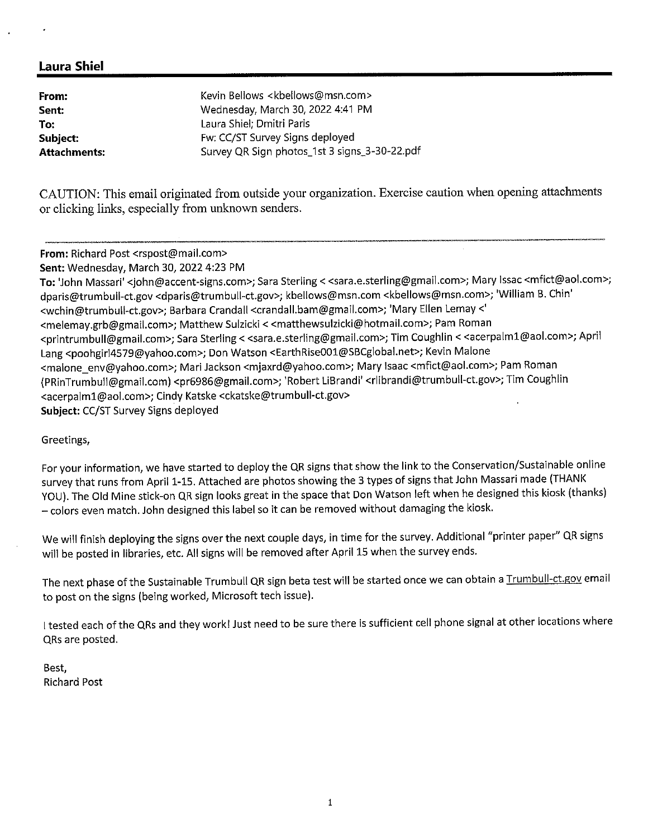| From:        | Kevin Bellows <kbellows@msn.com></kbellows@msn.com> |
|--------------|-----------------------------------------------------|
| Sent:        | Wednesday, March 30, 2022 4:41 PM                   |
| To:          | Laura Shiel; Dmitri Paris                           |
| Subject:     | Fw: CC/ST Survey Signs deployed                     |
| Attachments: | Survey QR Sign photos_1st 3 signs_3-30-22.pdf       |

CAUTION: This email originated from outside your organization. Exercise caution when opening attachments or clicking links, especially from unknown senders.

**From:** Richard Post <rspost@mail.com>

**Sent:** Wednesday, March 30, 2022 4:23 PM

**To:** 'John Massari' <john@accent-signs.com>; Sara Sterling< <sara.e.sterling@gmail.com>; Mary Issac <mfict@aol.com>; dparis@trumbull-ct.gov <dparis@trumbull-ct.gov>; kbellows@msn.com <kbellows@msn.com>; 'William B. Chin' <wchin@trumbull-ct.gov>; Barbara Crandall <crandall.bam@gmail.com>; 'Mary Ellen Lemay<' <melemay.grb@gmail.com>; Matthew Sulzicki < <matthewsulzicki@hotmail.com>; Pam Roman <printrumbull@gmail.com>; Sara Sterling< <sara.e.sterling@gmail.com>; Tim Coughlin< <acerpalml@aol.com>; April Lang <poohgirl4579@yahoo.com>; Don Watson <EarthRiseOOl@SBCglobal.net>; Kevin Malone <malone\_env@yahoo.com>; Mari Jackson <mjaxrd@yahoo.com>; Mary Isaac <mfict@aol.com>; Pam Roman (PRinTrumbull@gmail.com) <pr6986@gmail.com>; 'Robert LiBrandi' <rlibrandi@trumbull-ct.gov>; Tim Coughlin <acerpalml@aol.com>; Cindy Katske <ckatske@trumbull-ct.gov> **Subject:** CC/ST Survey Signs deployed

#### Greetings,

For your information, we have started to deploy the QR signs that show the link to the Conservation/Sustainable online survey that runs from April 1-15. Attached are photos showing the 3 types of signs that John Massari made (THANK YOU). The Old Mine stick-on QR sign looks great in the space that Don Watson left when he designed this kiosk (thanks) - colors even match. John designed this label so it can be removed without damaging the kiosk.

We will finish deploying the signs over the next couple days, in time for the survey. Additional "printer paper" QR signs will be posted in libraries, etc. All signs will be removed after April 15 when the survey ends.

The next phase of the Sustainable Trumbull QR sign beta test will be started once we can obtain a Trumbull-ct.gov email to post on the signs (being worked, Microsoft tech issue).

I tested each of the QRs and they work! Just need to be sure there is sufficient cell phone signal at other locations where QRs are posted.

Best, Richard Post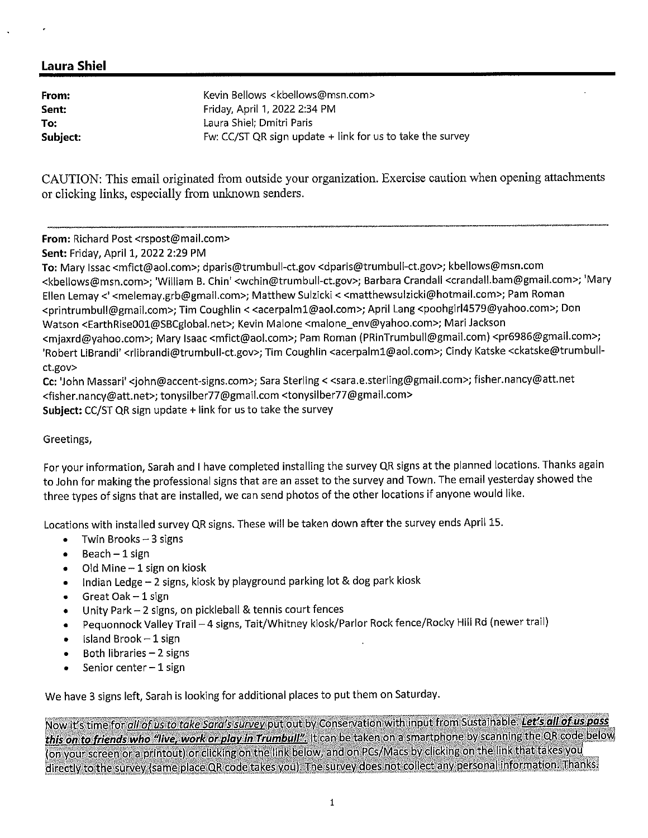| From:    | Kevin Bellows <kbellows@msn.com></kbellows@msn.com>           |
|----------|---------------------------------------------------------------|
| Sent:    | Friday, April 1, 2022 2:34 PM                                 |
| To:      | Laura Shiel: Dmitri Paris                                     |
| Subject: | Fw: $CC/ST QR$ sign update $+$ link for us to take the survey |

CAUTION: This email originated from outside your organization. Exercise caution when opening attachments or clicking links, especially from unknown senders.

**From:** Richard Post <rspost@mail.com>

**Sent:** Friday, April 1, 2022 2:29 PM

**To:** Mary Issac <mfict@aol.com>; dparis@trumbull-ct.gov <dparis@trumbull-ct.gov>; kbellows@msn.com <kbellows@msn.com>; 'William B. Chin' <wchin@trumbull-ct.gov>; Barbara Crandall <crandall.bam@gmail.com>; 'Mary Ellen Lemay<' <melemay.grb@gmail.com>; Matthew Sulzicki < <matthewsulzicki@hotmail.com>; Pam Roman <printrumbull@gmail.com>; Tim Coughlin < <acerpalm1@aol.com>; April Lang <poohgirl4579@yahoo.com>; Don Watson <EarthRise001@SBCglobal.net>; Kevin Malone <malone\_env@yahoo.com>; Mari Jackson <mjaxrd@yahoo.com>; Mary Isaac <mfict@aol.com>; Pam Roman (PRinTrumbull@gmail.com) <pr6986@gmail.com>; 'Robert LiBrandi' <rlibrandi@trumbull-ct.gov>; Tim Coughlin <acerpalm1@aol.com>; Cindy Katske <ckatske@trumbullct.gov>

**Cc:** 'John Massari' <john@accent-signs.com>; Sara Sterling< <sara.e.sterling@gmail.com>; fisher.nancy@att.net <fisher.nancy@att.net>; tonysilber77@gmail.com <tonysi1ber77@gmail.com> **Subject:** CC/ST QR sign update + link for us to take the survey

#### Greetings,

For your information, Sarah and I have completed installing the survey QR signs at the planned locations. Thanks again to John for making the professional signs that are an asset to the survey and Town. The email yesterday showed the three types of signs that are installed, we can send photos of the other locations if anyone would like.

Locations with installed survey QR signs. These will be taken down after the survey ends April 15.

- $\bullet$  Twin Brooks 3 signs
- $\bullet$  Beach 1 sign
- Old Mine  $-1$  sign on kiosk
- Indian Ledge 2 signs, kiosk by playground parking lot & dog park kiosk
- $\bullet$  Great Oak  $-1$  sign
- Unity Park- 2 signs, on pickleball & tennis court fences
- Pequonnock Valley Trail 4 signs, Tait/Whitney kiosk/Parlor Rock fence/Rocky Hill Rd (newer trail)
- $\bullet$  Island Brook  $-1$  sign
- $\bullet$  Both libraries  $-2$  signs
- $\bullet$  Senior center  $-1$  sign

We have 3 signs left, Sarah is looking for additional places to put them on Saturday.

Now it's time for <u>all of us to take Sara's survey</u> put out by Conservation with input from Sustainable. Let's all of us pass this on to friends who "live, work or play in Trumbull". It can be taken on a smartphone by scanning the QR code below (on your screen or a printout) or clicking on the link below, and on PCs/Macs by clicking on the link that takes you directly to the survey (same place QR code takes you). The survey does not collect any personal information. Thanks.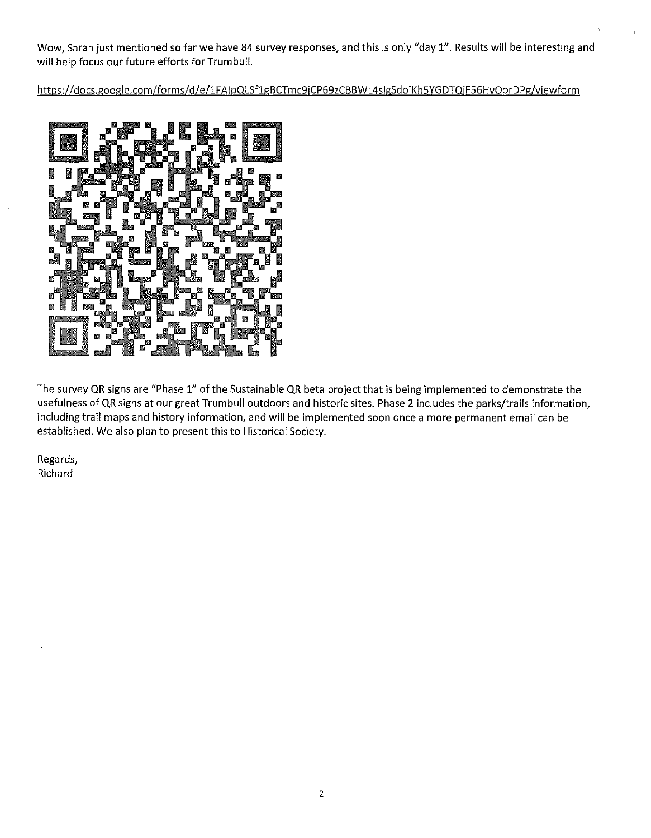Wow, Sarah just mentioned so far we have 84 survey responses, and this is only "day 1". Results **will** be interesting and will help focus our future efforts for Trumbull.

https://docs.google.com/forms/d/e/1FAlpQLSf1gBCTmc9iCP69zCBBWL4slgSdoiKh5YGDTQiF56HvOorDPg/viewform



The survey QR signs are "Phase 1" of the Sustainable QR beta project that is being implemented to demonstrate the usefulness of QR signs at our great Trumbull outdoors and historic sites. Phase 2 includes the parks/trails information, including trail maps and history information, and **will** be implemented soon once a more permanent email can be established. We also plan to present this to Historical Society.

Regards, Richard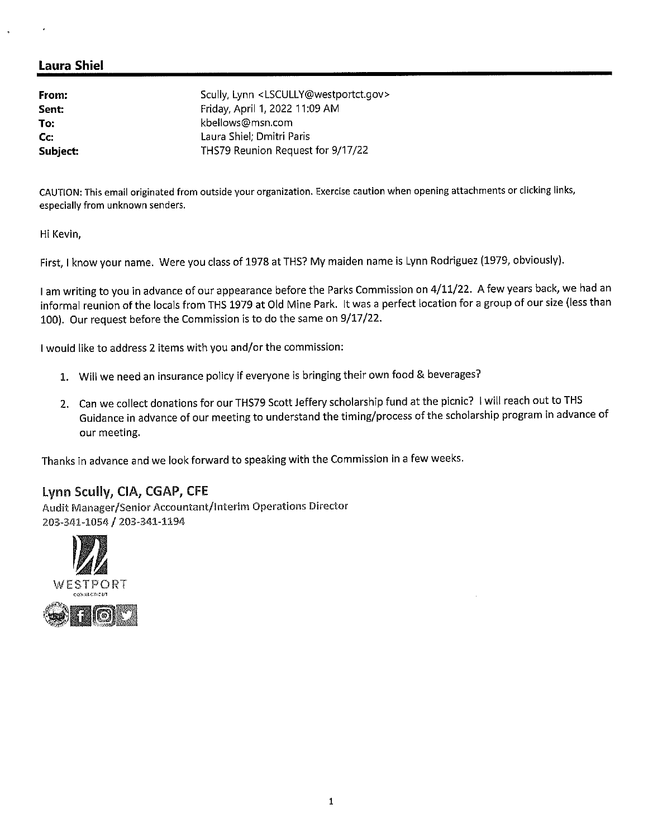**From: Sent: To: Cc: Subject:**  Scully, Lynn <LSCULLY@westportct.gov> Friday, April 1, 2022 11:09 AM kbellows@msn.com Laura Shiel; Dmitri Paris THS79 Reunion Request for 9/17/22

CAUTION: This email originated from outside your organization. Exercise caution when opening attachments or clicking links, especially from unknown senders.

Hi Kevin,

First, I know your name. Were you class of 1978 at THS? My maiden name is Lynn Rodriguez (1979, obviously).

I am writing to you in advance of our appearance before the Parks Commission on 4/11/22. A few years back, we had an informal reunion of the locals from THS 1979 at Old Mine Park. It was a perfect location for a group of our size (less than 100). Our request before the Commission is to do the same on 9/17 /22.

I would like to address 2 items with you and/or the commission:

- 1. Will we need an insurance policy if everyone is bringing their own food & beverages?
- 2. Can we collect donations for our THS79 Scott Jeffery scholarship fund at the picnic? I will reach out to THS Guidance in advance of our meeting to understand the timing/process of the scholarship program in advance of our meeting.

Thanks in advance and we look forward to speaking with the Commission in a few weeks.

#### **Lynn Scully, CIA, CGAP, CFE**

Audit Manager/Senior Accountant/Interim Operations Director 203-341-1054 *!* 203-341-1194

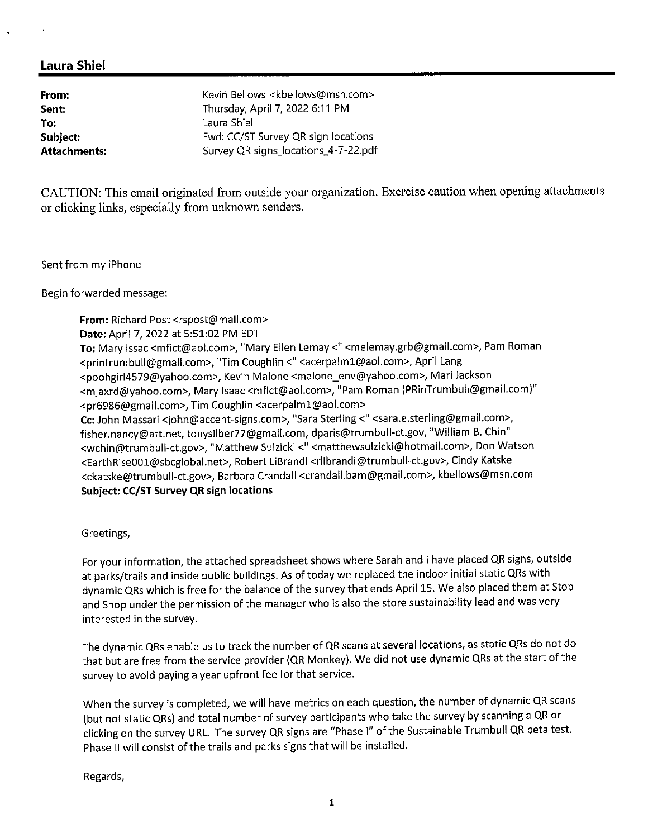**From: Sent: To:** 

Kevin Bellows <kbellows@msn.com> Thursday, April 7, 2022 6:11 PM Laura Shiel **Subject:** Fwd: CC/ST Survey QR sign locations Attachments: Survey QR signs locations\_4-7-22.pdf

CAUTION: This email originated from outside your organization. Exercise caution when opening attachments or clicking links, especially from unknown senders.

Sent from my iPhone

Begin forwarded message:

**From:** Richard Post <rspost@mail.com> **Date:** April 7, 2022 at 5:51:02 PM EDT **To:** Mary Issac <mfict@aol.com>, "Mary Ellen Lemay<" <melemay.grb@gmail.com>, Pam Roman <printrumbull@gmail.com>, "Tim Coughlin <" <acerpalm1@aol.com>, April Lang <poohgirl4579@yahoo.com>, Kevin Malone <malone\_env@yahoo.com>, Mari Jackson <mjaxrd@yahoo.com>, Mary Isaac <mfict@aol.com>, "Pam Roman (PRinTrumbull@gmail.com)" <pr6986@gmail.com>, Tim Coughlin <acerpalml@aol.com> **Cc:** John Massari <john@accent-signs.com>, "Sara Sterling<" <sara.e.sterling@gmail.com>, fisher.nancy@att.net, tonysilber77@gmail.com, dparis@trumbull-ct.gov, "William B. Chin" <wchin@trumbull-ct.gov>, "Matthew Sulzicki <" <matthewsulzicki@hotmail.com>, Don Watson <EarthRiseOOl@sbcglobal.net>, Robert LiBrandi <rlibrandi@trumbull-ct.gov>, Cindy Katske <ckatske@trumbull-ct.gov>, Barbara Crandall <crandall.bam@gmail.com>, kbellows@msn.com **Subject: CC/ST Survey QR sign locations** 

Greetings,

For your information, the attached spreadsheet shows where Sarah and I have placed QR signs, outside at parks/trails and inside public buildings. As of today we replaced the indoor initial static QRs with dynamic QRs which is free for the balance of the survey that ends April 15. We also placed them at Stop and Shop under the permission of the manager who is also the store sustainability lead and was very interested in the survey.

The dynamic QRs enable us to track the number of QR scans at several locations, as static QRs do not do that but are free from the service provider (QR Monkey). We did not use dynamic QRs at the start of the survey to avoid paying a year upfront fee for that service.

When the survey is completed, we will have metrics on each question, the number of dynamic QR scans (but not static QRs) and total number of survey participants who take the survey by scanning a QR or clicking on the survey URL. The survey QR signs are "Phase I" of the Sustainable Trumbull QR beta test. Phase II will consist of the trails and parks signs that will be installed.

Regards,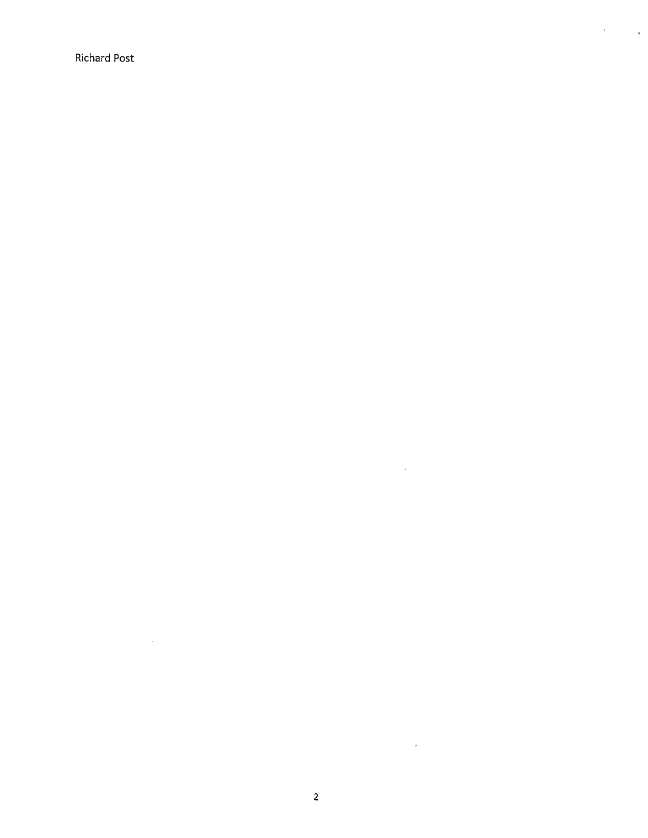Richard Post

 $\mathcal{L}^{\text{max}}_{\text{max}}$  ,  $\mathcal{L}^{\text{max}}_{\text{max}}$ 

 $\sim 10$ 

 $\sim$   $\sim$ 

 $\mathcal{A}^{\text{max}}_{\text{max}}$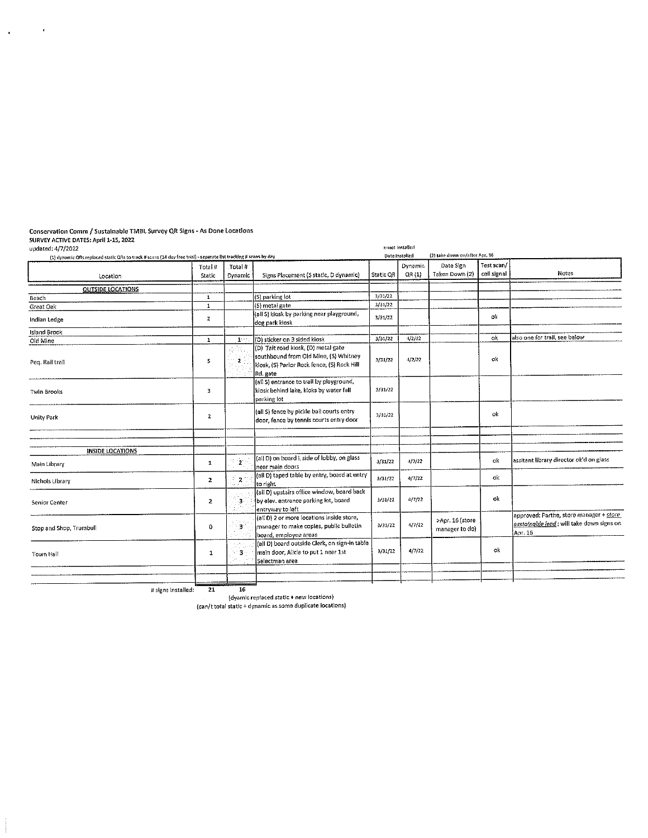#### Conservation Comm/ Sustalnable TMBL Survey QR Signs. As Done Locations SURVEY ACTIVE DATES: A11ril 1·15, 2022

 $\sim$   $\epsilon$ 

 $\sim 10^{-10}$ 

| (1) dynomic QRs replaced static QRs to track # scans (14 day free trial) - separate list tracking # scans by day |                   |                           |                                                                                                                                         |           | Date Installed          | (2) take down on/after Apr. 16    |                           |                                                                                                  |
|------------------------------------------------------------------------------------------------------------------|-------------------|---------------------------|-----------------------------------------------------------------------------------------------------------------------------------------|-----------|-------------------------|-----------------------------------|---------------------------|--------------------------------------------------------------------------------------------------|
| Location                                                                                                         | Total #<br>Static | Total #<br><b>Dynamic</b> | Signs Placement (S static, D dynamic)                                                                                                   | Static QR | <b>Dynamic</b><br>QR(1) | Date Sien<br>Taken Down (2)       | Test scan/<br>cell signal | Notes                                                                                            |
| OUTSIDE LOCATIONS                                                                                                |                   |                           |                                                                                                                                         |           |                         |                                   |                           |                                                                                                  |
| Beach                                                                                                            | $\mathbf{1}$      |                           | (S) parking lot                                                                                                                         | 3/31/27   |                         |                                   |                           |                                                                                                  |
| Great Oak                                                                                                        | $\mathbf{1}$      |                           | (S) metal gate                                                                                                                          | 3/31/22   |                         |                                   |                           |                                                                                                  |
| Indian Ledge                                                                                                     | $\mathbf{z}$      |                           | (all S) kiosk by parking near playground,<br>dog park kiosk                                                                             | 3/31/22   |                         |                                   | ok                        |                                                                                                  |
| <b>Island Brook</b>                                                                                              |                   |                           |                                                                                                                                         |           |                         |                                   |                           |                                                                                                  |
| Old Mine                                                                                                         | $\mathbf{1}$      | $\mathbf{1}^{(k)}$        | I(D) sticker on 3 sided kiosk                                                                                                           | 3/31/22   | $-1/2/2$                |                                   | ok                        | also one for trail, see below                                                                    |
| Peq. Rail trail                                                                                                  | 5                 | 2                         | (D) Tait road klosk, (D) metal gate<br>southbound from Old Mine, (S) Whitney<br>klosk, (S) Parlor Rock fence, (S) Rock Hill<br>Rd. gate | 3/31/22   | $-1/2/22$               |                                   | ok                        |                                                                                                  |
| <b>Twin Brooks</b>                                                                                               | 3                 |                           | (all S) entrance to trail by playground.<br>kiosk behind lake, kioks by water fall<br>parking lot                                       | 3/31/22   |                         |                                   |                           |                                                                                                  |
| Unity Park                                                                                                       | $\mathbf{z}$      |                           | (all S) fence by pickle ball courts entry<br>door, fence by tennis courts entry door                                                    | 3/31/22   |                         |                                   | ok                        |                                                                                                  |
|                                                                                                                  |                   |                           |                                                                                                                                         |           |                         |                                   |                           |                                                                                                  |
| <b>INSIDE LOCATIONS</b>                                                                                          |                   |                           |                                                                                                                                         |           |                         |                                   |                           |                                                                                                  |
| Main Library                                                                                                     | 1                 | $\mathbf{2}^{\circ}$      | (all D) on board L side of lobby, on glass<br>near main doors                                                                           | 3/31/22   | 4/7/22                  |                                   | ok                        | lassitant library director ok'd on glass                                                         |
| Nichols Library                                                                                                  | $\mathbf{z}$      | $2^{\circ}$               | (all D) taped table by entry, board at entry<br>ko right.                                                                               | 3/31/22   | 4/7/22                  |                                   | ok                        |                                                                                                  |
| Senior Center                                                                                                    | $\mathbf{2}$      | -3                        | (all D) upstairs office window, board back<br>by elev, entrance parking lot, board<br>entryway to left                                  | 3/31/22   | 4/7/22                  |                                   | ok                        |                                                                                                  |
| Stop and Shop, Trumbull                                                                                          | $\mathbf 0$       | ddiadau<br>.<br>З.        | (all D) 2 or more locations inside store,<br>manager to make copies, public bulletin<br>board, employee areas                           | 3/31/22   | 4/7/22                  | >Apr. 16 (store<br>manager to do) |                           | approved: Parthe, store manager + store<br>sustainable lead ; will take down signs on<br>Apr. 16 |
| Town Hall                                                                                                        | $\mathbf{1}$      | ٦.                        | (all D) board outside Clerk, on sign-in table<br>main door, Alicla to put 1 near 1st<br>Selectman area                                  | 3/31/22   | 4/7/22                  |                                   | ok                        |                                                                                                  |

# signs installed: 21

23 16 (dyamlc replaced static+ new locations)

{can/t total static+ dynamic as some duplicate locations)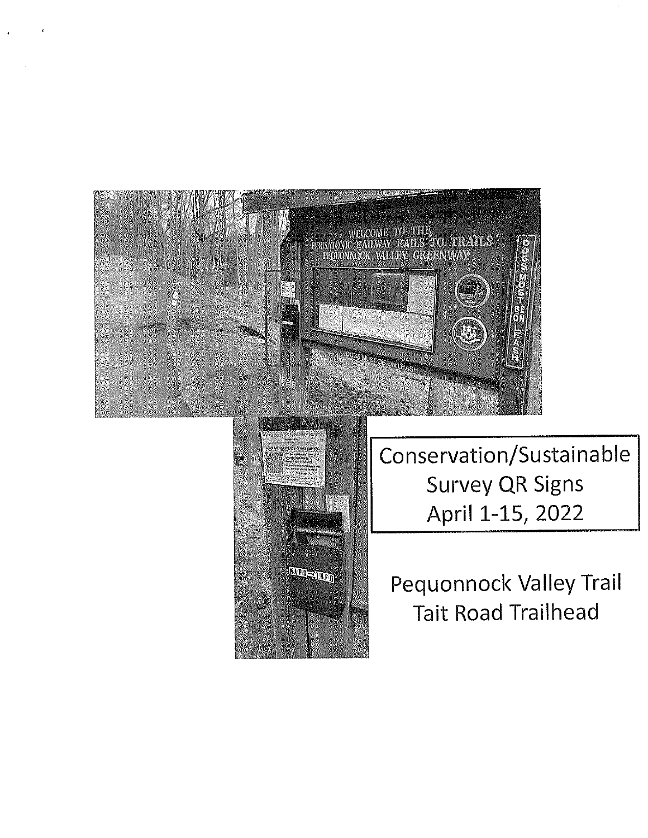

**HARSE HEAD** 

April 1-15, 2022

Pequannock Valley Trail Tait Road Trailhead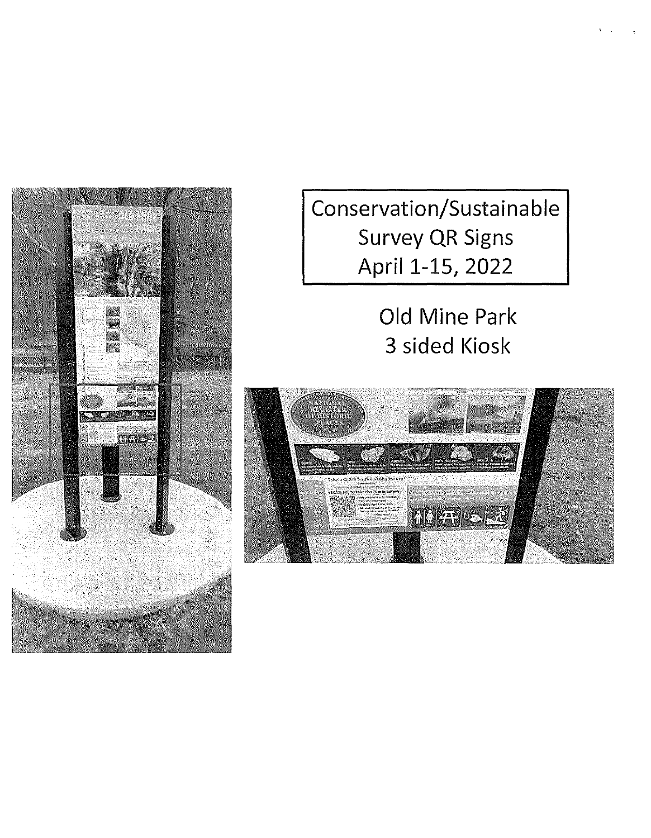

Conservation/Sustainable Survey QR Signs April 1-15, 2022

> Old Mine Park 3 sided Kiosk

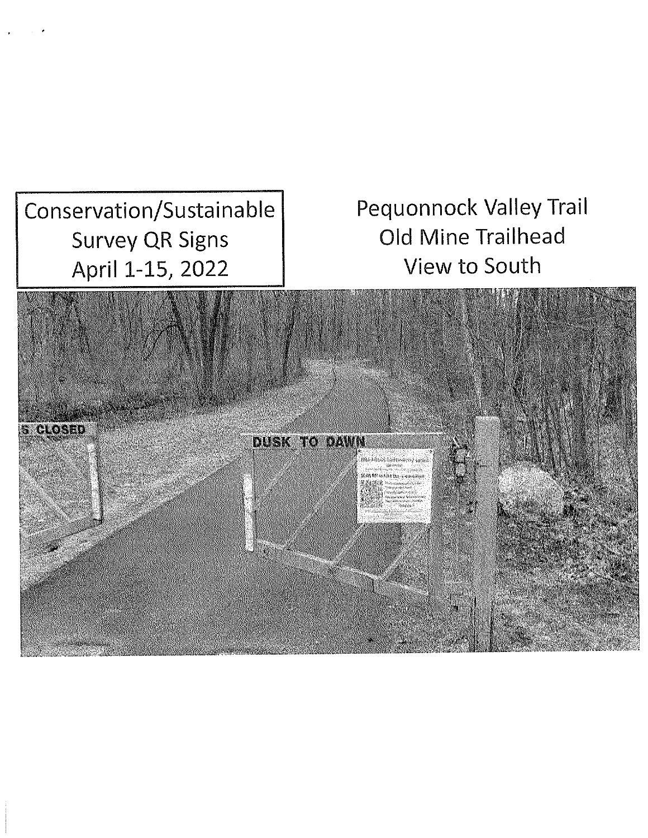Conservation/Sustainable Survey QR Signs April 1-15, 2022

Pequannock Valley Trail Old Mine Trailhead View to South

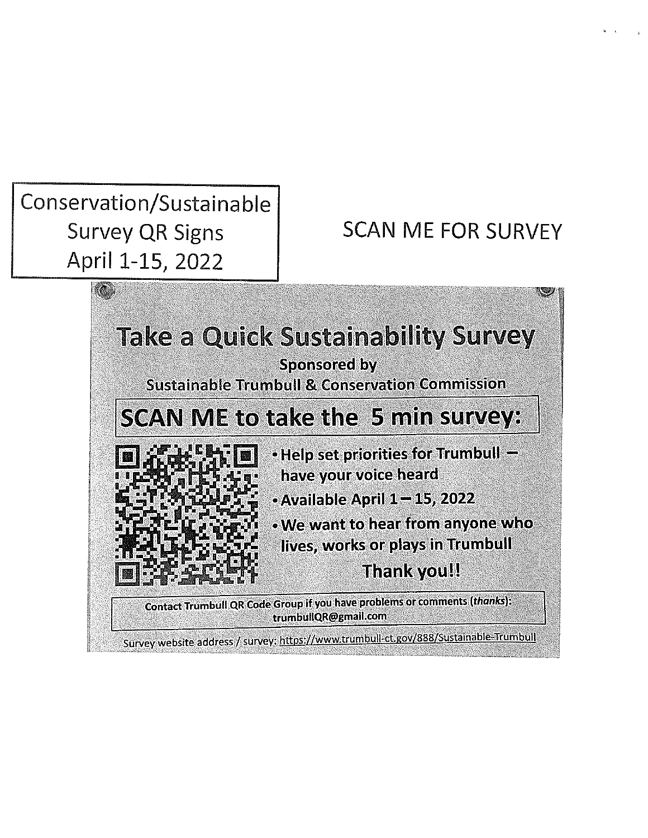Conservation/Sustainable Survey QR Signs April 1-15, 2022

SCAN ME FOR SURVEY